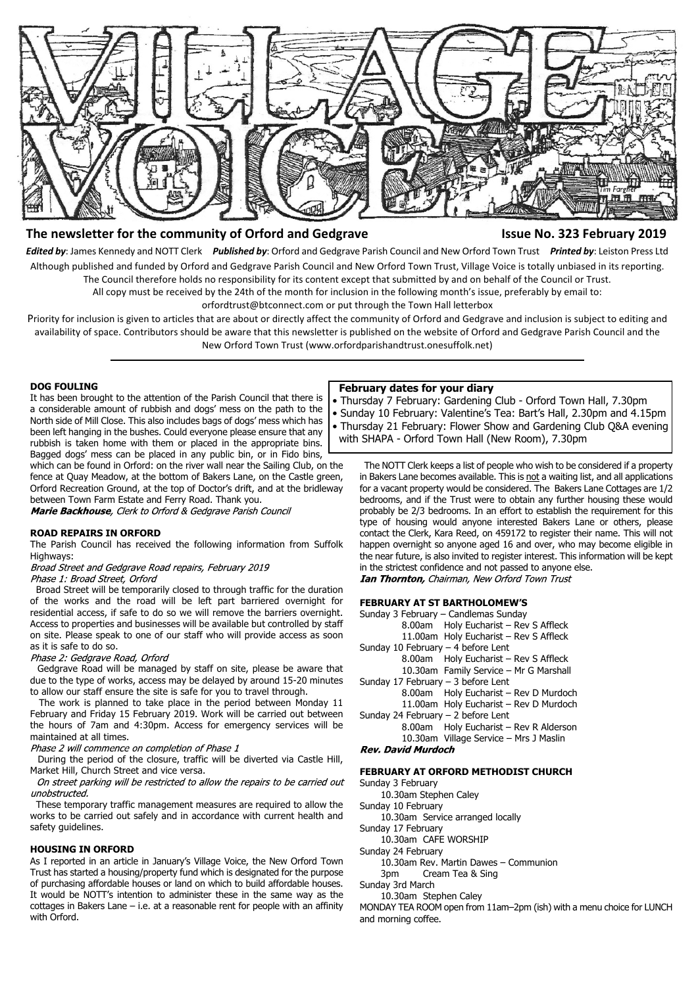

# **The newsletter for the community of Orford and Gedgrave Issue No. 323 February 2019**

*Edited by*: James Kennedy and NOTT Clerk *Published by*: Orford and Gedgrave Parish Council and New Orford Town Trust *Printed by*: Leiston Press Ltd Although published and funded by Orford and Gedgrave Parish Council and New Orford Town Trust, Village Voice is totally unbiased in its reporting. The Council therefore holds no responsibility for its content except that submitted by and on behalf of the Council or Trust.

All copy must be received by the 24th of the month for inclusion in the following month's issue, preferably by email to:

orfordtrust@btconnect.com or put through the Town Hall letterbox

Priority for inclusion is given to articles that are about or directly affect the community of Orford and Gedgrave and inclusion is subject to editing and availability of space. Contributors should be aware that this newsletter is published on the website of Orford and Gedgrave Parish Council and the New Orford Town Trust (www.orfordparishandtrust.onesuffolk.net)

### **DOG FOULING**

It has been brought to the attention of the Parish Council that there is a considerable amount of rubbish and dogs' mess on the path to the North side of Mill Close. This also includes bags of dogs' mess which has been left hanging in the bushes. Could everyone please ensure that any rubbish is taken home with them or placed in the appropriate bins. Bagged dogs' mess can be placed in any public bin, or in Fido bins,

which can be found in Orford: on the river wall near the Sailing Club, on the fence at Quay Meadow, at the bottom of Bakers Lane, on the Castle green, Orford Recreation Ground, at the top of Doctor's drift, and at the bridleway between Town Farm Estate and Ferry Road. Thank you.

Marie Backhouse, Clerk to Orford & Gedgrave Parish Council

# **ROAD REPAIRS IN ORFORD**

The Parish Council has received the following information from Suffolk Highways:

Broad Street and Gedgrave Road repairs, February 2019 Phase 1: Broad Street, Orford

Broad Street will be temporarily closed to through traffic for the duration

of the works and the road will be left part barriered overnight for residential access, if safe to do so we will remove the barriers overnight. Access to properties and businesses will be available but controlled by staff on site. Please speak to one of our staff who will provide access as soon as it is safe to do so.<br>Phase 2: Gedgrave Road, Orford

 Gedgrave Road will be managed by staff on site, please be aware that due to the type of works, access may be delayed by around 15-20 minutes to allow our staff ensure the site is safe for you to travel through.

 The work is planned to take place in the period between Monday 11 February and Friday 15 February 2019. Work will be carried out between the hours of 7am and 4:30pm. Access for emergency services will be maintained at all times.

Phase 2 will commence on completion of Phase 1

 During the period of the closure, traffic will be diverted via Castle Hill, Market Hill, Church Street and vice versa.

On street parking will be restricted to allow the repairs to be carried out unobstructed.

 These temporary traffic management measures are required to allow the works to be carried out safely and in accordance with current health and safety guidelines.

# **HOUSING IN ORFORD**

As I reported in an article in January's Village Voice, the New Orford Town Trust has started a housing/property fund which is designated for the purpose of purchasing affordable houses or land on which to build affordable houses. It would be NOTT's intention to administer these in the same way as the cottages in Bakers Lane – i.e. at a reasonable rent for people with an affinity with Orford.

## **February dates for your diary**

 • Thursday 7 February: Gardening Club - Orford Town Hall, 7.30pm • Sunday 10 February: Valentine's Tea: Bart's Hall, 2.30pm and 4.15pm • Thursday 21 February: Flower Show and Gardening Club Q&A evening with SHAPA - Orford Town Hall (New Room), 7.30pm

 The NOTT Clerk keeps a list of people who wish to be considered if a property in Bakers Lane becomes available. This is not a waiting list, and all applications for a vacant property would be considered. The Bakers Lane Cottages are 1/2 bedrooms, and if the Trust were to obtain any further housing these would probably be 2/3 bedrooms. In an effort to establish the requirement for this type of housing would anyone interested Bakers Lane or others, please contact the Clerk, Kara Reed, on 459172 to register their name. This will not happen overnight so anyone aged 16 and over, who may become eligible in the near future, is also invited to register interest. This information will be kept in the strictest confidence and not passed to anyone else. **Ian Thornton, Chairman, New Orford Town Trust** 

# **FEBRUARY AT ST BARTHOLOMEW'S**

| Sunday 3 February – Candlemas Sunday   |
|----------------------------------------|
| 8.00am Holy Eucharist - Rev S Affleck  |
| 11.00am Holy Eucharist - Rev S Affleck |
| Sunday 10 February $-$ 4 before Lent   |
| 8.00am Holy Eucharist - Rev S Affleck  |
| 10.30am Family Service - Mr G Marshall |
| Sunday 17 February - 3 before Lent     |
| 8.00am Holy Eucharist - Rev D Murdoch  |
| 11.00am Holy Eucharist - Rev D Murdoch |
| Sunday 24 February - 2 before Lent     |
| 8.00am Holy Eucharist - Rev R Alderson |
| 10.30am Village Service - Mrs J Maslin |
| <b>Rev. David Murdoch</b>              |

### **FEBRUARY AT ORFORD METHODIST CHURCH**

Sunday 3 February

- 10.30am Stephen Caley
- Sunday 10 February
- 10.30am Service arranged locally
- Sunday 17 February 10.30am CAFE WORSHIP
- Sunday 24 February
	- 10.30am Rev. Martin Dawes Communion
	- 3pm Cream Tea & Sing
- Sunday 3rd March

10.30am Stephen Caley

MONDAY TEA ROOM open from 11am–2pm (ish) with a menu choice for LUNCH and morning coffee.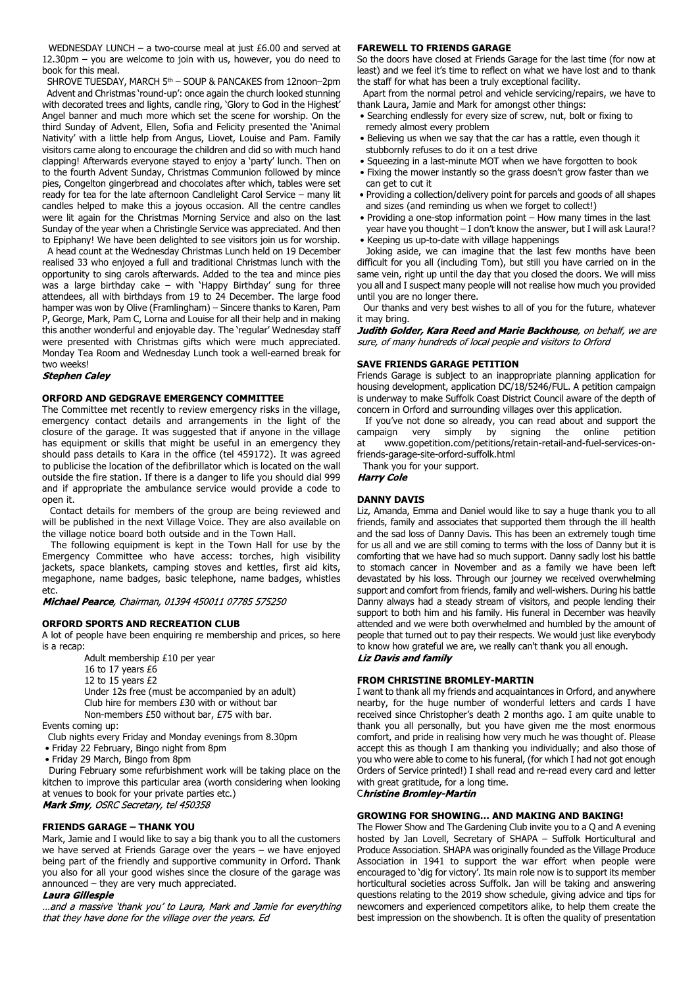WEDNESDAY LUNCH – a two-course meal at just £6.00 and served at 12.30pm – you are welcome to join with us, however, you do need to book for this meal.

SHROVE TUESDAY, MARCH 5<sup>th</sup> - SOUP & PANCAKES from 12noon-2pm Advent and Christmas 'round-up': once again the church looked stunning with decorated trees and lights, candle ring, 'Glory to God in the Highest' Angel banner and much more which set the scene for worship. On the third Sunday of Advent, Ellen, Sofia and Felicity presented the 'Animal Nativity' with a little help from Angus, Liovet, Louise and Pam. Family visitors came along to encourage the children and did so with much hand clapping! Afterwards everyone stayed to enjoy a 'party' lunch. Then on to the fourth Advent Sunday, Christmas Communion followed by mince pies, Congelton gingerbread and chocolates after which, tables were set ready for tea for the late afternoon Candlelight Carol Service – many lit candles helped to make this a joyous occasion. All the centre candles were lit again for the Christmas Morning Service and also on the last Sunday of the year when a Christingle Service was appreciated. And then to Epiphany! We have been delighted to see visitors join us for worship.

 A head count at the Wednesday Christmas Lunch held on 19 December realised 33 who enjoyed a full and traditional Christmas lunch with the opportunity to sing carols afterwards. Added to the tea and mince pies was a large birthday cake – with 'Happy Birthday' sung for three attendees, all with birthdays from 19 to 24 December. The large food hamper was won by Olive (Framlingham) – Sincere thanks to Karen, Pam P, George, Mark, Pam C, Lorna and Louise for all their help and in making this another wonderful and enjoyable day. The 'regular' Wednesday staff were presented with Christmas gifts which were much appreciated. Monday Tea Room and Wednesday Lunch took a well-earned break for two weeks!<br>**Stephen Caley** 

# **ORFORD AND GEDGRAVE EMERGENCY COMMITTEE**

The Committee met recently to review emergency risks in the village, emergency contact details and arrangements in the light of the closure of the garage. It was suggested that if anyone in the village has equipment or skills that might be useful in an emergency they should pass details to Kara in the office (tel 459172). It was agreed to publicise the location of the defibrillator which is located on the wall outside the fire station. If there is a danger to life you should dial 999 and if appropriate the ambulance service would provide a code to open it.

 Contact details for members of the group are being reviewed and will be published in the next Village Voice. They are also available on the village notice board both outside and in the Town Hall.

 The following equipment is kept in the Town Hall for use by the Emergency Committee who have access: torches, high visibility jackets, space blankets, camping stoves and kettles, first aid kits, megaphone, name badges, basic telephone, name badges, whistles etc.

Michael Pearce, Chairman, 01394 450011 07785 575250

# **ORFORD SPORTS AND RECREATION CLUB**

A lot of people have been enquiring re membership and prices, so here is a recap:

Adult membership £10 per year 16 to 17 years £6 12 to 15 years £2 Under 12s free (must be accompanied by an adult) Club hire for members £30 with or without bar Non-members £50 without bar, £75 with bar.

Events coming up:

- Club nights every Friday and Monday evenings from 8.30pm
- Friday 22 February, Bingo night from 8pm
- Friday 29 March, Bingo from 8pm

 During February some refurbishment work will be taking place on the kitchen to improve this particular area (worth considering when looking at venues to book for your private parties etc.) Mark Smy, OSRC Secretary, tel 450358

# **FRIENDS GARAGE – THANK YOU**

Mark, Jamie and I would like to say a big thank you to all the customers we have served at Friends Garage over the years – we have enjoyed being part of the friendly and supportive community in Orford. Thank you also for all your good wishes since the closure of the garage was announced – they are very much appreciated.

# Laura Gillespie

...and a massive 'thank you' to Laura, Mark and Jamie for everything that they have done for the village over the years. Ed

## **FAREWELL TO FRIENDS GARAGE**

So the doors have closed at Friends Garage for the last time (for now at least) and we feel it's time to reflect on what we have lost and to thank the staff for what has been a truly exceptional facility.

 Apart from the normal petrol and vehicle servicing/repairs, we have to thank Laura, Jamie and Mark for amongst other things:

- Searching endlessly for every size of screw, nut, bolt or fixing to remedy almost every problem
- Believing us when we say that the car has a rattle, even though it stubbornly refuses to do it on a test drive
- Squeezing in a last-minute MOT when we have forgotten to book • Fixing the mower instantly so the grass doesn't grow faster than we can get to cut it
- Providing a collection/delivery point for parcels and goods of all shapes and sizes (and reminding us when we forget to collect!)
- Providing a one-stop information point How many times in the last
- year have you thought I don't know the answer, but I will ask Laura!? • Keeping us up-to-date with village happenings

 Joking aside, we can imagine that the last few months have been difficult for you all (including Tom), but still you have carried on in the same vein, right up until the day that you closed the doors. We will miss you all and I suspect many people will not realise how much you provided until you are no longer there.

 Our thanks and very best wishes to all of you for the future, whatever it may bring.

Judith Golder, Kara Reed and Marie Backhouse, on behalf, we are sure, of many hundreds of local people and visitors to Orford

# **SAVE FRIENDS GARAGE PETITION**

Friends Garage is subject to an inappropriate planning application for housing development, application DC/18/5246/FUL. A petition campaign is underway to make Suffolk Coast District Council aware of the depth of concern in Orford and surrounding villages over this application.

 If you've not done so already, you can read about and support the campaign very simply by signing the online petition at www.gopetition.com/petitions/retain-retail-and-fuel-services-onfriends-garage-site-orford-suffolk.html

Thank you for your support.

**Harry Cole** 

## **DANNY DAVIS**

Liz, Amanda, Emma and Daniel would like to say a huge thank you to all friends, family and associates that supported them through the ill health and the sad loss of Danny Davis. This has been an extremely tough time for us all and we are still coming to terms with the loss of Danny but it is comforting that we have had so much support. Danny sadly lost his battle to stomach cancer in November and as a family we have been left devastated by his loss. Through our journey we received overwhelming support and comfort from friends, family and well-wishers. During his battle Danny always had a steady stream of visitors, and people lending their support to both him and his family. His funeral in December was heavily attended and we were both overwhelmed and humbled by the amount of people that turned out to pay their respects. We would just like everybody to know how grateful we are, we really can't thank you all enough. **Liz Davis and family** 

## **FROM CHRISTINE BROMLEY-MARTIN**

I want to thank all my friends and acquaintances in Orford, and anywhere nearby, for the huge number of wonderful letters and cards I have received since Christopher's death 2 months ago. I am quite unable to thank you all personally, but you have given me the most enormous comfort, and pride in realising how very much he was thought of. Please accept this as though I am thanking you individually; and also those of you who were able to come to his funeral, (for which I had not got enough Orders of Service printed!) I shall read and re-read every card and letter with great gratitude, for a long time.

**Christine Bromley-Martin** 

# **GROWING FOR SHOWING… AND MAKING AND BAKING!**

The Flower Show and The Gardening Club invite you to a Q and A evening hosted by Jan Lovell, Secretary of SHAPA – Suffolk Horticultural and Produce Association. SHAPA was originally founded as the Village Produce Association in 1941 to support the war effort when people were encouraged to 'dig for victory'. Its main role now is to support its member horticultural societies across Suffolk. Jan will be taking and answering questions relating to the 2019 show schedule, giving advice and tips for newcomers and experienced competitors alike, to help them create the best impression on the showbench. It is often the quality of presentation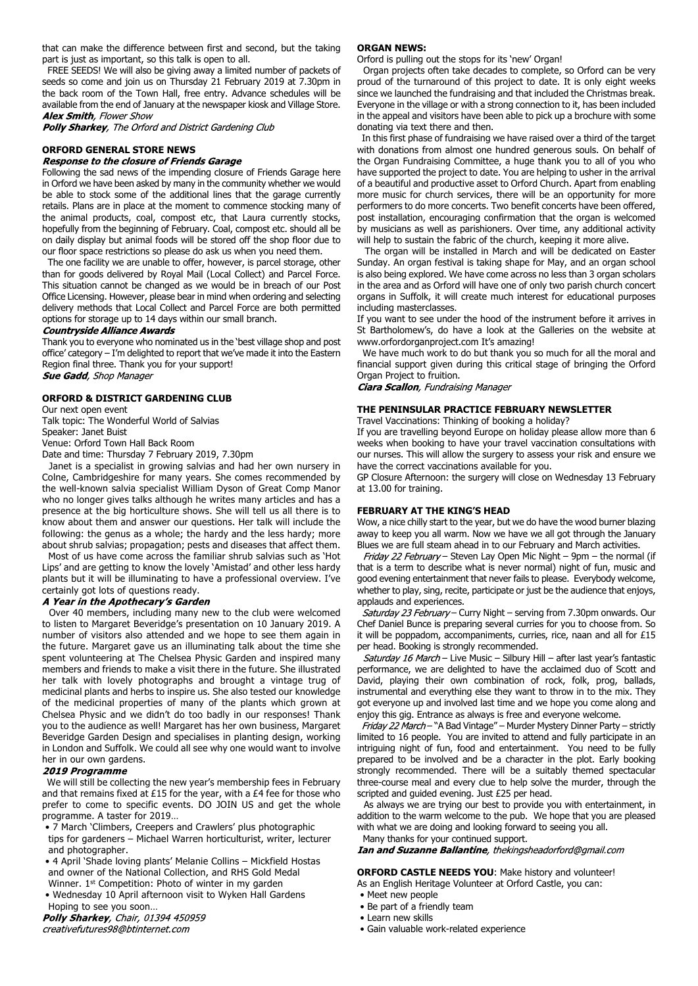that can make the difference between first and second, but the taking part is just as important, so this talk is open to all.

 FREE SEEDS! We will also be giving away a limited number of packets of seeds so come and join us on Thursday 21 February 2019 at 7.30pm in the back room of the Town Hall, free entry. Advance schedules will be available from the end of January at the newspaper kiosk and Village Store. **Alex Smith**. Flower Show

Polly Sharkey, The Orford and District Gardening Club

# **ORFORD GENERAL STORE NEWS**

# Response to the closure of Friends Garage

Following the sad news of the impending closure of Friends Garage here in Orford we have been asked by many in the community whether we would be able to stock some of the additional lines that the garage currently retails. Plans are in place at the moment to commence stocking many of the animal products, coal, compost etc, that Laura currently stocks, hopefully from the beginning of February. Coal, compost etc. should all be on daily display but animal foods will be stored off the shop floor due to our floor space restrictions so please do ask us when you need them.

 The one facility we are unable to offer, however, is parcel storage, other than for goods delivered by Royal Mail (Local Collect) and Parcel Force. This situation cannot be changed as we would be in breach of our Post Office Licensing. However, please bear in mind when ordering and selecting delivery methods that Local Collect and Parcel Force are both permitted options for storage up to 14 days within our small branch.

## **Countryside Alliance Awards**

Thank you to everyone who nominated us in the 'best village shop and post office' category – I'm delighted to report that we've made it into the Eastern Region final three. Thank you for your support!<br>**Sue Gadd**, Shop Manager

# **ORFORD & DISTRICT GARDENING CLUB**

Our next open event

Talk topic: The Wonderful World of Salvias

Speaker: Janet Buist Venue: Orford Town Hall Back Room

Date and time: Thursday 7 February 2019, 7.30pm

 Janet is a specialist in growing salvias and had her own nursery in Colne, Cambridgeshire for many years. She comes recommended by the well-known salvia specialist William Dyson of Great Comp Manor who no longer gives talks although he writes many articles and has a presence at the big horticulture shows. She will tell us all there is to know about them and answer our questions. Her talk will include the following: the genus as a whole; the hardy and the less hardy; more about shrub salvias; propagation; pests and diseases that affect them.

 Most of us have come across the familiar shrub salvias such as 'Hot Lips' and are getting to know the lovely 'Amistad' and other less hardy plants but it will be illuminating to have a professional overview. I've certainly got lots of questions ready.

### A Year in the Apothecary's Garden

 Over 40 members, including many new to the club were welcomed to listen to Margaret Beveridge's presentation on 10 January 2019. A number of visitors also attended and we hope to see them again in the future. Margaret gave us an illuminating talk about the time she spent volunteering at The Chelsea Physic Garden and inspired many members and friends to make a visit there in the future. She illustrated her talk with lovely photographs and brought a vintage trug of medicinal plants and herbs to inspire us. She also tested our knowledge of the medicinal properties of many of the plants which grown at Chelsea Physic and we didn't do too badly in our responses! Thank you to the audience as well! Margaret has her own business, Margaret Beveridge Garden Design and specialises in planting design, working in London and Suffolk. We could all see why one would want to involve her in our own gardens.

### 2019 Programme

 We will still be collecting the new year's membership fees in February and that remains fixed at £15 for the year, with a £4 fee for those who prefer to come to specific events. DO JOIN US and get the whole programme. A taster for 2019…

• 7 March 'Climbers, Creepers and Crawlers' plus photographic

 tips for gardeners – Michael Warren horticulturist, writer, lecturer and photographer.

 • 4 April 'Shade loving plants' Melanie Collins – Mickfield Hostas and owner of the National Collection, and RHS Gold Medal

Winner. 1<sup>st</sup> Competition: Photo of winter in my garden • Wednesday 10 April afternoon visit to Wyken Hall Gardens

Hoping to see you soon...<br>**Polly Sharkey**, Chair, 01394 450959 creativefutures98@btinternet.com

# **ORGAN NEWS:**

Orford is pulling out the stops for its 'new' Organ!

 Organ projects often take decades to complete, so Orford can be very proud of the turnaround of this project to date. It is only eight weeks since we launched the fundraising and that included the Christmas break. Everyone in the village or with a strong connection to it, has been included in the appeal and visitors have been able to pick up a brochure with some donating via text there and then.

 In this first phase of fundraising we have raised over a third of the target with donations from almost one hundred generous souls. On behalf of the Organ Fundraising Committee, a huge thank you to all of you who have supported the project to date. You are helping to usher in the arrival of a beautiful and productive asset to Orford Church. Apart from enabling more music for church services, there will be an opportunity for more performers to do more concerts. Two benefit concerts have been offered, post installation, encouraging confirmation that the organ is welcomed by musicians as well as parishioners. Over time, any additional activity will help to sustain the fabric of the church, keeping it more alive.

 The organ will be installed in March and will be dedicated on Easter Sunday. An organ festival is taking shape for May, and an organ school is also being explored. We have come across no less than 3 organ scholars in the area and as Orford will have one of only two parish church concert organs in Suffolk, it will create much interest for educational purposes including masterclasses.

If you want to see under the hood of the instrument before it arrives in St Bartholomew's, do have a look at the Galleries on the website at www.orfordorganproject.com It's amazing!

 We have much work to do but thank you so much for all the moral and financial support given during this critical stage of bringing the Orford Organ Project to fruition.

**Ciara Scallon**, Fundraising Manager

## **THE PENINSULAR PRACTICE FEBRUARY NEWSLETTER**

Travel Vaccinations: Thinking of booking a holiday?

If you are travelling beyond Europe on holiday please allow more than 6 weeks when booking to have your travel vaccination consultations with our nurses. This will allow the surgery to assess your risk and ensure we have the correct vaccinations available for you.

GP Closure Afternoon: the surgery will close on Wednesday 13 February at 13.00 for training.

# **FEBRUARY AT THE KING'S HEAD**

Wow, a nice chilly start to the year, but we do have the wood burner blazing away to keep you all warm. Now we have we all got through the January Blues we are full steam ahead in to our February and March activities.

Friday 22 February - Steven Lay Open Mic Night - 9pm - the normal (if that is a term to describe what is never normal) night of fun, music and good evening entertainment that never fails to please. Everybody welcome, whether to play, sing, recite, participate or just be the audience that enjoys, applauds and experiences.

Saturday 23 February - Curry Night - serving from 7.30pm onwards. Our Chef Daniel Bunce is preparing several curries for you to choose from. So it will be poppadom, accompaniments, curries, rice, naan and all for £15 per head. Booking is strongly recommended.

Saturday 16 March - Live Music - Silbury Hill - after last year's fantastic performance, we are delighted to have the acclaimed duo of Scott and David, playing their own combination of rock, folk, prog, ballads, instrumental and everything else they want to throw in to the mix. They got everyone up and involved last time and we hope you come along and enjoy this gig. Entrance as always is free and everyone welcome.

Friday 22 March - "A Bad Vintage" - Murder Mystery Dinner Party - strictly limited to 16 people. You are invited to attend and fully participate in an intriguing night of fun, food and entertainment. You need to be fully prepared to be involved and be a character in the plot. Early booking strongly recommended. There will be a suitably themed spectacular three-course meal and every clue to help solve the murder, through the scripted and guided evening. Just £25 per head.

 As always we are trying our best to provide you with entertainment, in addition to the warm welcome to the pub. We hope that you are pleased with what we are doing and looking forward to seeing you all. Many thanks for your continued support.

Ian and Suzanne Ballantine, thekingsheadorford@gmail.com

**ORFORD CASTLE NEEDS YOU**: Make history and volunteer!

As an English Heritage Volunteer at Orford Castle, you can:

• Meet new people

- Be part of a friendly team
- Learn new skills
- Gain valuable work-related experience